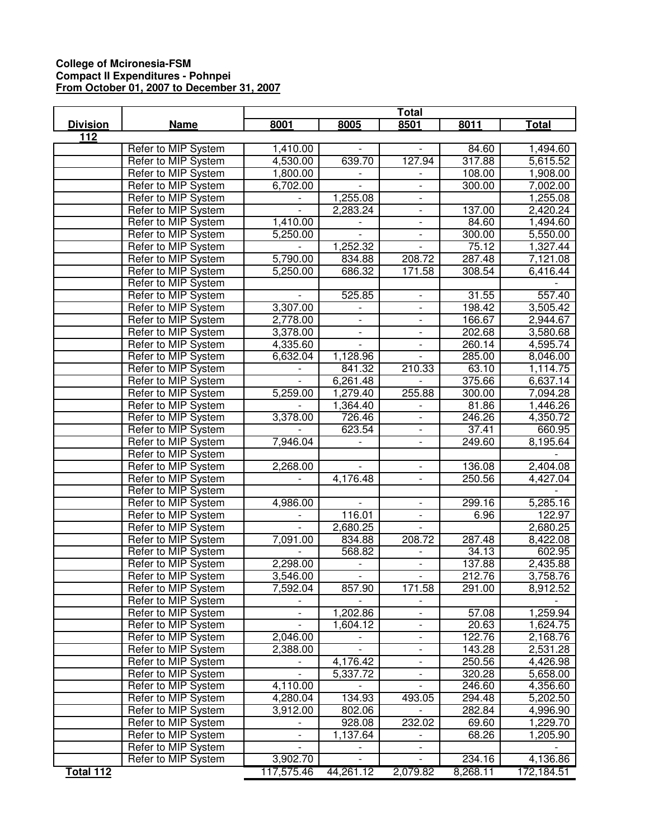## **College of Mcironesia-FSM Compact II Expenditures - Pohnpei From October 01, 2007 to December 31, 2007**

|                  |                     | Total                    |                          |                              |                   |              |
|------------------|---------------------|--------------------------|--------------------------|------------------------------|-------------------|--------------|
| <b>Division</b>  | <b>Name</b>         | 8001                     | 8005                     | 8501                         | 8011              | <b>Total</b> |
| 112              |                     |                          |                          |                              |                   |              |
|                  | Refer to MIP System | 1,410.00                 |                          |                              | 84.60             | 1,494.60     |
|                  | Refer to MIP System | 4,530.00                 | 639.70                   | 127.94                       | 317.88            | 5,615.52     |
|                  | Refer to MIP System | 1,800.00                 |                          | $\overline{\phantom{a}}$     | 108.00            | 1,908.00     |
|                  | Refer to MIP System | 6,702.00                 |                          | $\overline{\phantom{a}}$     | 300.00            | 7,002.00     |
|                  | Refer to MIP System |                          | 1,255.08                 | $\overline{\phantom{a}}$     |                   | 1,255.08     |
|                  | Refer to MIP System |                          | 2,283.24                 | $\overline{\phantom{a}}$     | 137.00            | 2,420.24     |
|                  | Refer to MIP System | 1,410.00                 |                          | $\qquad \qquad \blacksquare$ | 84.60             | 1,494.60     |
|                  | Refer to MIP System | 5,250.00                 |                          | $\overline{\phantom{a}}$     | 300.00            | 5,550.00     |
|                  | Refer to MIP System |                          | 1,252.32                 |                              | 75.12             | 1,327.44     |
|                  | Refer to MIP System | 5,790.00                 | 834.88                   | 208.72                       | 287.48            | 7,121.08     |
|                  | Refer to MIP System | 5,250.00                 | 686.32                   | 171.58                       | 308.54            | 6,416.44     |
|                  | Refer to MIP System |                          |                          |                              |                   |              |
|                  | Refer to MIP System |                          | 525.85                   |                              | 31.55             | 557.40       |
|                  | Refer to MIP System | 3,307.00                 | $\overline{a}$           | $\blacksquare$               | 198.42            | 3,505.42     |
|                  | Refer to MIP System | 2,778.00                 | $\overline{\phantom{0}}$ | $\overline{\phantom{a}}$     | 166.67            | 2,944.67     |
|                  | Refer to MIP System | 3,378.00                 | $\overline{\phantom{a}}$ | $\overline{\phantom{a}}$     | 202.68            | 3,580.68     |
|                  | Refer to MIP System | 4,335.60                 | $\overline{\phantom{a}}$ | $\overline{\phantom{a}}$     | 260.14            | 4,595.74     |
|                  | Refer to MIP System | 6,632.04                 | 1,128.96                 |                              | 285.00            | 8,046.00     |
|                  | Refer to MIP System |                          | 841.32                   | 210.33                       | 63.10             | 1,114.75     |
|                  | Refer to MIP System | $\overline{a}$           | 6,261.48                 | $\overline{a}$               | 375.66            | 6,637.14     |
|                  | Refer to MIP System | 5,259.00                 | 1,279.40                 | 255.88                       | 300.00            | 7,094.28     |
|                  | Refer to MIP System |                          | 1,364.40                 |                              | 81.86             | 1,446.26     |
|                  | Refer to MIP System | 3,378.00                 | 726.46                   |                              | 246.26            | 4,350.72     |
|                  | Refer to MIP System |                          | 623.54                   |                              | 37.41             | 660.95       |
|                  | Refer to MIP System | 7,946.04                 |                          |                              | 249.60            | 8,195.64     |
|                  | Refer to MIP System |                          |                          |                              |                   |              |
|                  | Refer to MIP System | 2,268.00                 | $\overline{a}$           | $\blacksquare$               | 136.08            | 2,404.08     |
|                  | Refer to MIP System |                          | 4,176.48                 | $\overline{\phantom{a}}$     | 250.56            | 4,427.04     |
|                  | Refer to MIP System |                          |                          |                              |                   |              |
|                  | Refer to MIP System | 4,986.00                 | $\overline{\phantom{a}}$ | $\overline{\phantom{a}}$     | 299.16            | 5,285.16     |
|                  | Refer to MIP System |                          | 116.01                   | $\overline{\phantom{a}}$     | 6.96              | 122.97       |
|                  | Refer to MIP System |                          | 2,680.25                 |                              |                   | 2,680.25     |
|                  | Refer to MIP System | 7,091.00                 | 834.88                   | 208.72                       | 287.48            | 8,422.08     |
|                  | Refer to MIP System |                          | 568.82                   |                              | 34.13             | 602.95       |
|                  | Refer to MIP System | 2,298.00                 |                          |                              | 137.88            | 2,435.88     |
|                  | Refer to MIP System | 3,546.00                 |                          |                              | 212.76            | 3,758.76     |
|                  | Refer to MIP System | 7,592.04                 | 857.90                   | 171.58                       | 291.00            | 8,912.52     |
|                  | Refer to MIP System |                          |                          |                              |                   |              |
|                  | Refer to MIP System | $\overline{\phantom{a}}$ | 1,202.86                 | $\overline{\phantom{a}}$     | $\frac{1}{57.08}$ | 1,259.94     |
|                  | Refer to MIP System |                          | 1,604.12                 | $\overline{\phantom{a}}$     | 20.63             | 1,624.75     |
|                  | Refer to MIP System | 2,046.00                 |                          | $\overline{\phantom{a}}$     | 122.76            | 2,168.76     |
|                  | Refer to MIP System | 2,388.00                 |                          | $\overline{\phantom{a}}$     | 143.28            | 2,531.28     |
|                  | Refer to MIP System |                          | 4,176.42                 | $\overline{\phantom{a}}$     | 250.56            | 4,426.98     |
|                  | Refer to MIP System |                          | 5,337.72                 | $\overline{\phantom{a}}$     | 320.28            | 5,658.00     |
|                  | Refer to MIP System | 4,110.00                 |                          | $\overline{\phantom{a}}$     | 246.60            | 4,356.60     |
|                  | Refer to MIP System | 4,280.04                 | 134.93                   | 493.05                       | 294.48            | 5,202.50     |
|                  | Refer to MIP System | 3,912.00                 | 802.06                   |                              | 282.84            | 4,996.90     |
|                  | Refer to MIP System |                          | 928.08                   | 232.02                       | 69.60             | 1,229.70     |
|                  | Refer to MIP System |                          | 1,137.64                 |                              | 68.26             | 1,205.90     |
|                  | Refer to MIP System |                          |                          |                              |                   |              |
|                  | Refer to MIP System | 3,902.70                 |                          |                              | 234.16            | 4,136.86     |
| <b>Total 112</b> |                     | 117,575.46               | 44,261.12                | 2,079.82                     | 8,268.11          | 172,184.51   |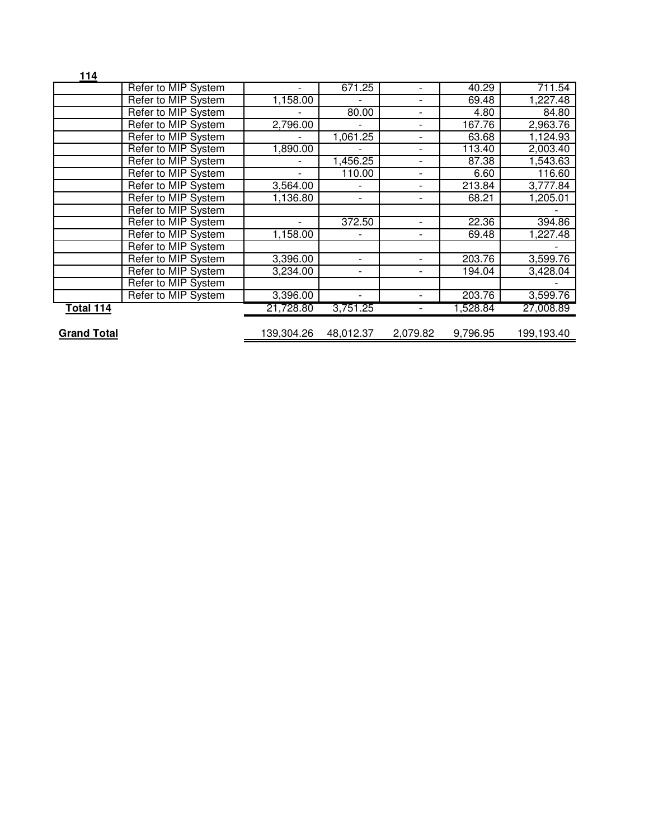| 114                |                     |                          |                          |                          |          |            |
|--------------------|---------------------|--------------------------|--------------------------|--------------------------|----------|------------|
|                    | Refer to MIP System |                          | 671.25                   | $\overline{a}$           | 40.29    | 711.54     |
|                    | Refer to MIP System | 1,158.00                 |                          | -                        | 69.48    | 1,227.48   |
|                    | Refer to MIP System |                          | 80.00                    | $\overline{\phantom{0}}$ | 4.80     | 84.80      |
|                    | Refer to MIP System | 2,796.00                 |                          | $\overline{\phantom{0}}$ | 167.76   | 2,963.76   |
|                    | Refer to MIP System |                          | 1,061.25                 | $\overline{\phantom{0}}$ | 63.68    | 1,124.93   |
|                    | Refer to MIP System | 1,890.00                 |                          | $\overline{\phantom{a}}$ | 113.40   | 2,003.40   |
|                    | Refer to MIP System |                          | 1,456.25                 | $\overline{\phantom{0}}$ | 87.38    | 1,543.63   |
|                    | Refer to MIP System |                          | 110.00                   | $\overline{\phantom{a}}$ | 6.60     | 116.60     |
|                    | Refer to MIP System | 3,564.00                 |                          | $\overline{\phantom{a}}$ | 213.84   | 3,777.84   |
|                    | Refer to MIP System | 1,136.80                 | $\overline{\phantom{0}}$ | -                        | 68.21    | 1,205.01   |
|                    | Refer to MIP System |                          |                          |                          |          |            |
|                    | Refer to MIP System | $\overline{\phantom{0}}$ | 372.50                   | $\overline{\phantom{0}}$ | 22.36    | 394.86     |
|                    | Refer to MIP System | 1,158.00                 |                          | -                        | 69.48    | 1,227.48   |
|                    | Refer to MIP System |                          |                          |                          |          |            |
|                    | Refer to MIP System | 3,396.00                 |                          | -                        | 203.76   | 3,599.76   |
|                    | Refer to MIP System | 3,234.00                 |                          |                          | 194.04   | 3,428.04   |
|                    | Refer to MIP System |                          |                          |                          |          |            |
|                    | Refer to MIP System | 3,396.00                 |                          |                          | 203.76   | 3,599.76   |
| Total 114          |                     | 21,728.80                | 3,751.25                 | $\overline{\phantom{0}}$ | 1,528.84 | 27,008.89  |
| <b>Grand Total</b> |                     | 139,304.26               | 48,012.37                | 2,079.82                 | 9,796.95 | 199,193.40 |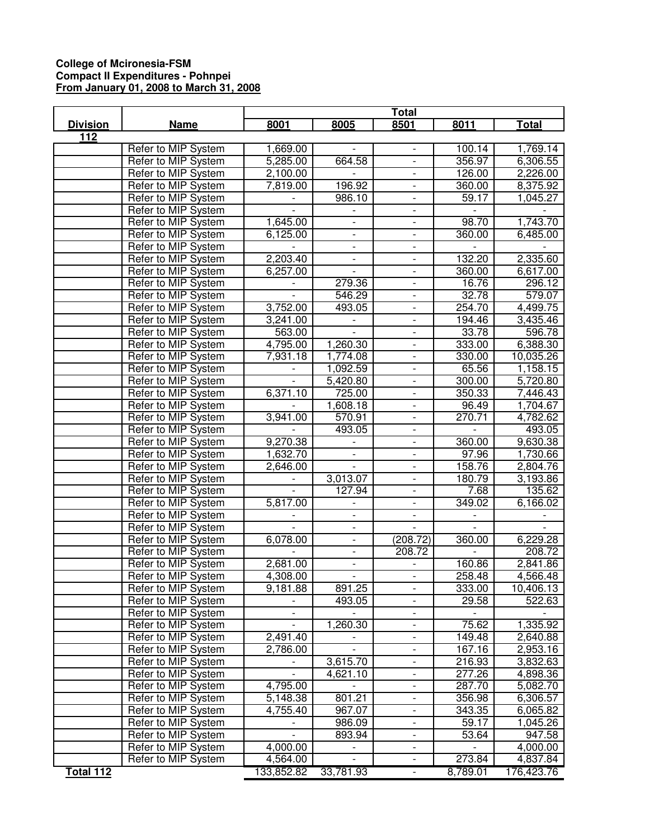## **College of Mcironesia-FSM Compact II Expenditures - Pohnpei From January 01, 2008 to March 31, 2008**

|                  |                     | <b>Total</b>             |                          |                          |          |              |
|------------------|---------------------|--------------------------|--------------------------|--------------------------|----------|--------------|
| <b>Division</b>  | <b>Name</b>         | 8001                     | 8005                     | 8501                     | 8011     | <b>Total</b> |
| $\overline{112}$ |                     |                          |                          |                          |          |              |
|                  | Refer to MIP System | 1,669.00                 |                          | $\blacksquare$           | 100.14   | 1,769.14     |
|                  | Refer to MIP System | 5,285.00                 | 664.58                   | $\overline{\phantom{a}}$ | 356.97   | 6,306.55     |
|                  | Refer to MIP System | 2,100.00                 |                          | $\overline{\phantom{a}}$ | 126.00   | 2,226.00     |
|                  | Refer to MIP System | 7,819.00                 | 196.92                   | $\overline{\phantom{a}}$ | 360.00   | 8,375.92     |
|                  | Refer to MIP System |                          | 986.10                   | $\overline{\phantom{a}}$ | 59.17    | 1,045.27     |
|                  | Refer to MIP System |                          |                          | $\qquad \qquad -$        |          |              |
|                  | Refer to MIP System | 1,645.00                 | $\overline{\phantom{a}}$ | $\overline{\phantom{a}}$ | 98.70    | 1,743.70     |
|                  | Refer to MIP System | 6,125.00                 |                          |                          | 360.00   | 6,485.00     |
|                  | Refer to MIP System |                          | $\overline{\phantom{a}}$ |                          |          |              |
|                  | Refer to MIP System | 2,203.40                 | $\overline{\phantom{a}}$ |                          | 132.20   | 2,335.60     |
|                  | Refer to MIP System | 6,257.00                 |                          |                          | 360.00   | 6,617.00     |
|                  | Refer to MIP System |                          | 279.36                   |                          | 16.76    | 296.12       |
|                  | Refer to MIP System | $\overline{a}$           | 546.29                   | $\overline{\phantom{0}}$ | 32.78    | 579.07       |
|                  | Refer to MIP System | 3,752.00                 | 493.05                   | $\overline{\phantom{0}}$ | 254.70   | 4,499.75     |
|                  | Refer to MIP System | 3,241.00                 |                          | $\overline{\phantom{a}}$ | 194.46   | 3,435.46     |
|                  | Refer to MIP System | 563.00                   |                          | $\overline{\phantom{a}}$ | 33.78    | 596.78       |
|                  | Refer to MIP System | 4,795.00                 | 1,260.30                 | $\overline{\phantom{a}}$ | 333.00   | 6,388.30     |
|                  | Refer to MIP System | 7,931.18                 | 1,774.08                 | $\overline{\phantom{a}}$ | 330.00   | 10,035.26    |
|                  | Refer to MIP System |                          | 1,092.59                 |                          | 65.56    | 1,158.15     |
|                  | Refer to MIP System | $\overline{a}$           | 5,420.80                 | $\overline{\phantom{a}}$ | 300.00   | 5,720.80     |
|                  | Refer to MIP System | 6,371.10                 | 725.00                   |                          | 350.33   | 7,446.43     |
|                  | Refer to MIP System |                          | 1,608.18                 |                          | 96.49    | 1,704.67     |
|                  | Refer to MIP System | 3,941.00                 | 570.91                   |                          | 270.71   | 4,782.62     |
|                  | Refer to MIP System |                          | 493.05                   |                          |          | 493.05       |
|                  | Refer to MIP System | 9,270.38                 |                          |                          | 360.00   | 9,630.38     |
|                  | Refer to MIP System | 1,632.70                 | $\overline{\phantom{a}}$ | $\blacksquare$           | 97.96    | 1,730.66     |
|                  | Refer to MIP System | 2,646.00                 | $\blacksquare$           | $\overline{\phantom{a}}$ | 158.76   | 2,804.76     |
|                  | Refer to MIP System |                          | 3,013.07                 | $\overline{\phantom{a}}$ | 180.79   | 3,193.86     |
|                  | Refer to MIP System | $\overline{a}$           | 127.94                   | $\overline{\phantom{a}}$ | 7.68     | 135.62       |
|                  | Refer to MIP System | 5,817.00                 |                          | $\overline{\phantom{a}}$ | 349.02   | 6,166.02     |
|                  | Refer to MIP System |                          |                          | $\overline{\phantom{a}}$ |          |              |
|                  | Refer to MIP System | $\overline{a}$           | $\overline{\phantom{a}}$ | $\blacksquare$           |          |              |
|                  | Refer to MIP System | 6,078.00                 | $\overline{\phantom{a}}$ | (208.72)                 | 360.00   | 6,229.28     |
|                  | Refer to MIP System |                          |                          | 208.72                   |          | 208.72       |
|                  | Refer to MIP System | 2,681.00                 |                          |                          | 160.86   | 2,841.86     |
|                  | Refer to MIP System | 4,308.00                 | $\overline{\phantom{a}}$ |                          | 258.48   | 4,566.48     |
|                  | Refer to MIP System | 9,181.88                 | 891.25                   |                          | 333.00   | 10,406.13    |
|                  | Refer to MIP System | $\overline{a}$           | 493.05                   | $\blacksquare$           | 29.58    | 522.63       |
|                  | Refer to MIP System | $\overline{\phantom{0}}$ |                          | $\overline{\phantom{a}}$ |          |              |
|                  | Refer to MIP System |                          | 1,260.30                 | $\blacksquare$           | 75.62    | 1,335.92     |
|                  | Refer to MIP System | 2,491.40                 |                          | $\overline{\phantom{a}}$ | 149.48   | 2,640.88     |
|                  | Refer to MIP System | 2,786.00                 |                          | $\blacksquare$           | 167.16   | 2,953.16     |
|                  | Refer to MIP System |                          | 3,615.70                 | $\overline{\phantom{a}}$ | 216.93   | 3,832.63     |
|                  | Refer to MIP System |                          | 4,621.10                 | $\overline{\phantom{a}}$ | 277.26   | 4,898.36     |
|                  | Refer to MIP System | 4,795.00                 |                          | $\overline{\phantom{a}}$ | 287.70   | 5,082.70     |
|                  | Refer to MIP System | 5,148.38                 | 801.21                   |                          | 356.98   | 6,306.57     |
|                  | Refer to MIP System | 4,755.40                 | 967.07                   | $\overline{\phantom{a}}$ | 343.35   | 6,065.82     |
|                  | Refer to MIP System |                          | 986.09                   | $\overline{\phantom{a}}$ | 59.17    | 1,045.26     |
|                  | Refer to MIP System |                          | 893.94                   |                          | 53.64    | 947.58       |
|                  | Refer to MIP System | 4,000.00                 |                          |                          |          | 4,000.00     |
|                  | Refer to MIP System | 4,564.00                 |                          | $\blacksquare$           | 273.84   | 4,837.84     |
| <b>Total 112</b> |                     | 133,852.82               | 33,781.93                |                          | 8,789.01 | 176,423.76   |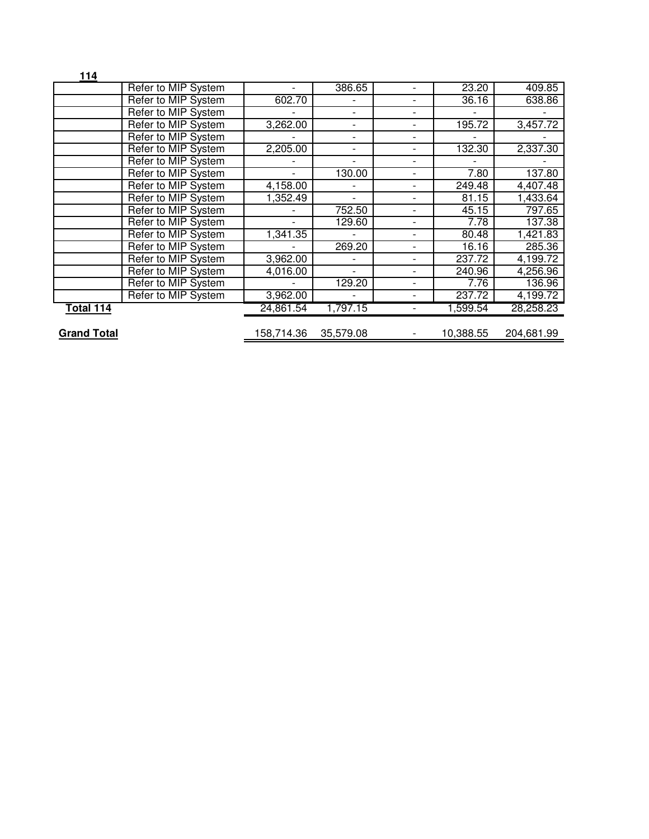| 114                |                     |                          |                          |                          |                          |            |
|--------------------|---------------------|--------------------------|--------------------------|--------------------------|--------------------------|------------|
|                    | Refer to MIP System |                          | 386.65                   |                          | 23.20                    | 409.85     |
|                    | Refer to MIP System | 602.70                   |                          |                          | 36.16                    | 638.86     |
|                    | Refer to MIP System |                          | $\overline{\phantom{a}}$ | $\overline{\phantom{a}}$ | $\overline{\phantom{a}}$ |            |
|                    | Refer to MIP System | 3,262.00                 | -                        |                          | 195.72                   | 3,457.72   |
|                    | Refer to MIP System |                          | $\overline{\phantom{a}}$ |                          |                          |            |
|                    | Refer to MIP System | 2,205.00                 | $\overline{\phantom{a}}$ |                          | 132.30                   | 2,337.30   |
|                    | Refer to MIP System |                          | $\overline{\phantom{0}}$ |                          |                          |            |
|                    | Refer to MIP System |                          | 130.00                   |                          | 7.80                     | 137.80     |
|                    | Refer to MIP System | 4,158.00                 |                          |                          | 249.48                   | 4,407.48   |
|                    | Refer to MIP System | 1,352.49                 | $\overline{\phantom{0}}$ |                          | 81.15                    | 1,433.64   |
|                    | Refer to MIP System |                          | 752.50                   |                          | 45.15                    | 797.65     |
|                    | Refer to MIP System |                          | 129.60                   |                          | 7.78                     | 137.38     |
|                    | Refer to MIP System | 1,341.35                 |                          |                          | 80.48                    | 1,421.83   |
|                    | Refer to MIP System |                          | 269.20                   |                          | 16.16                    | 285.36     |
|                    | Refer to MIP System | 3,962.00                 |                          |                          | 237.72                   | 4,199.72   |
|                    | Refer to MIP System | 4,016.00                 | $\overline{\phantom{0}}$ |                          | 240.96                   | 4,256.96   |
|                    | Refer to MIP System | $\overline{\phantom{0}}$ | 129.20                   |                          | 7.76                     | 136.96     |
|                    | Refer to MIP System | 3,962.00                 |                          |                          | 237.72                   | 4,199.72   |
| Total 114          |                     | 24,861.54                | 1,797.15                 |                          | 1,599.54                 | 28,258.23  |
| <b>Grand Total</b> |                     | 158,714.36               | 35,579.08                |                          | 10,388.55                | 204,681.99 |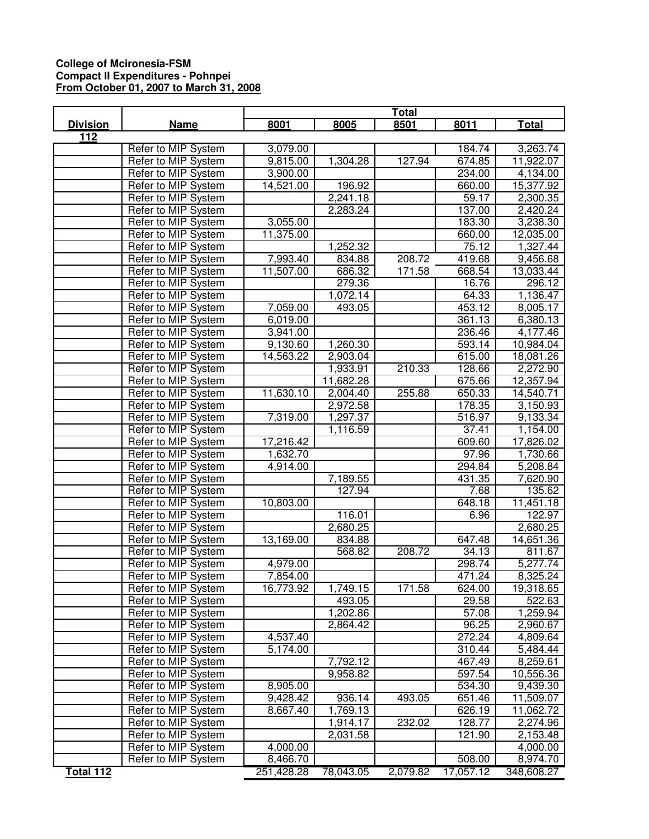## **College of Mcironesia-FSM Compact II Expenditures - Pohnpei From October 01, 2007 to March 31, 2008**

|                 |                     | <b>Total</b> |           |          |           |            |
|-----------------|---------------------|--------------|-----------|----------|-----------|------------|
| <b>Division</b> | <b>Name</b>         | 8001         | 8005      | 8501     | 8011      | Total      |
| 112             |                     |              |           |          |           |            |
|                 | Refer to MIP System | 3,079.00     |           |          | 184.74    | 3,263.74   |
|                 | Refer to MIP System | 9,815.00     | 1,304.28  | 127.94   | 674.85    | 11,922.07  |
|                 | Refer to MIP System | 3,900.00     |           |          | 234.00    | 4,134.00   |
|                 | Refer to MIP System | 14,521.00    | 196.92    |          | 660.00    | 15,377.92  |
|                 | Refer to MIP System |              | 2,241.18  |          | 59.17     | 2,300.35   |
|                 | Refer to MIP System |              | 2,283.24  |          | 137.00    | 2,420.24   |
|                 | Refer to MIP System | 3,055.00     |           |          | 183.30    | 3,238.30   |
|                 | Refer to MIP System | 11,375.00    |           |          | 660.00    | 12,035.00  |
|                 | Refer to MIP System |              | 1,252.32  |          | 75.12     | 1,327.44   |
|                 | Refer to MIP System | 7,993.40     | 834.88    | 208.72   | 419.68    | 9,456.68   |
|                 | Refer to MIP System | 11,507.00    | 686.32    | 171.58   | 668.54    | 13,033.44  |
|                 | Refer to MIP System |              | 279.36    |          | 16.76     | 296.12     |
|                 | Refer to MIP System |              | 1,072.14  |          | 64.33     | 1,136.47   |
|                 | Refer to MIP System | 7,059.00     | 493.05    |          | 453.12    | 8,005.17   |
|                 | Refer to MIP System | 6,019.00     |           |          | 361.13    | 6,380.13   |
|                 | Refer to MIP System | 3,941.00     |           |          | 236.46    | 4,177.46   |
|                 | Refer to MIP System | 9,130.60     | 1,260.30  |          | 593.14    | 10,984.04  |
|                 | Refer to MIP System | 14,563.22    | 2,903.04  |          | 615.00    | 18,081.26  |
|                 | Refer to MIP System |              | 1,933.91  | 210.33   | 128.66    | 2,272.90   |
|                 | Refer to MIP System |              | 11,682.28 |          | 675.66    | 12,357.94  |
|                 | Refer to MIP System | 11,630.10    | 2,004.40  | 255.88   | 650.33    | 14,540.71  |
|                 | Refer to MIP System |              | 2,972.58  |          | 178.35    | 3,150.93   |
|                 | Refer to MIP System | 7,319.00     | 1,297.37  |          | 516.97    | 9,133.34   |
|                 | Refer to MIP System |              | 1,116.59  |          | 37.41     | 1,154.00   |
|                 | Refer to MIP System | 17,216.42    |           |          | 609.60    | 17,826.02  |
|                 | Refer to MIP System | 1,632.70     |           |          | 97.96     | 1,730.66   |
|                 | Refer to MIP System | 4,914.00     |           |          | 294.84    | 5,208.84   |
|                 | Refer to MIP System |              | 7,189.55  |          | 431.35    | 7,620.90   |
|                 | Refer to MIP System |              | 127.94    |          | 7.68      | 135.62     |
|                 | Refer to MIP System | 10,803.00    |           |          | 648.18    | 11,451.18  |
|                 | Refer to MIP System |              | 116.01    |          | 6.96      | 122.97     |
|                 | Refer to MIP System |              | 2,680.25  |          |           | 2,680.25   |
|                 | Refer to MIP System | 13,169.00    | 834.88    |          | 647.48    | 14,651.36  |
|                 | Refer to MIP System |              | 568.82    | 208.72   | 34.13     | 811.67     |
|                 | Refer to MIP System | 4,979.00     |           |          | 298.74    | 5,277.74   |
|                 | Refer to MIP System | 7,854.00     |           |          | 471.24    | 8,325.24   |
|                 | Refer to MIP System | 16,773.92    | 1,749.15  | 171.58   | 624.00    | 19,318.65  |
|                 | Refer to MIP System |              | 493.05    |          | 29.58     | 522.63     |
|                 | Refer to MIP System |              | 1,202.86  |          | 57.08     | 1,259.94   |
|                 | Refer to MIP System |              | 2,864.42  |          | 96.25     | 2,960.67   |
|                 | Refer to MIP System | 4,537.40     |           |          | 272.24    | 4,809.64   |
|                 | Refer to MIP System | 5,174.00     |           |          | 310.44    | 5,484.44   |
|                 | Refer to MIP System |              | 7,792.12  |          | 467.49    | 8,259.61   |
|                 | Refer to MIP System |              | 9,958.82  |          | 597.54    | 10,556.36  |
|                 | Refer to MIP System | 8,905.00     |           |          | 534.30    | 9,439.30   |
|                 | Refer to MIP System | 9,428.42     | 936.14    | 493.05   | 651.46    | 11,509.07  |
|                 | Refer to MIP System | 8,667.40     | 1,769.13  |          | 626.19    | 11,062.72  |
|                 | Refer to MIP System |              | 1,914.17  | 232.02   | 128.77    | 2,274.96   |
|                 | Refer to MIP System |              | 2,031.58  |          | 121.90    | 2,153.48   |
|                 | Refer to MIP System | 4,000.00     |           |          |           | 4,000.00   |
|                 | Refer to MIP System | 8,466.70     |           |          | 508.00    | 8,974.70   |
| Total 112       |                     | 251,428.28   | 78,043.05 | 2,079.82 | 17,057.12 | 348,608.27 |